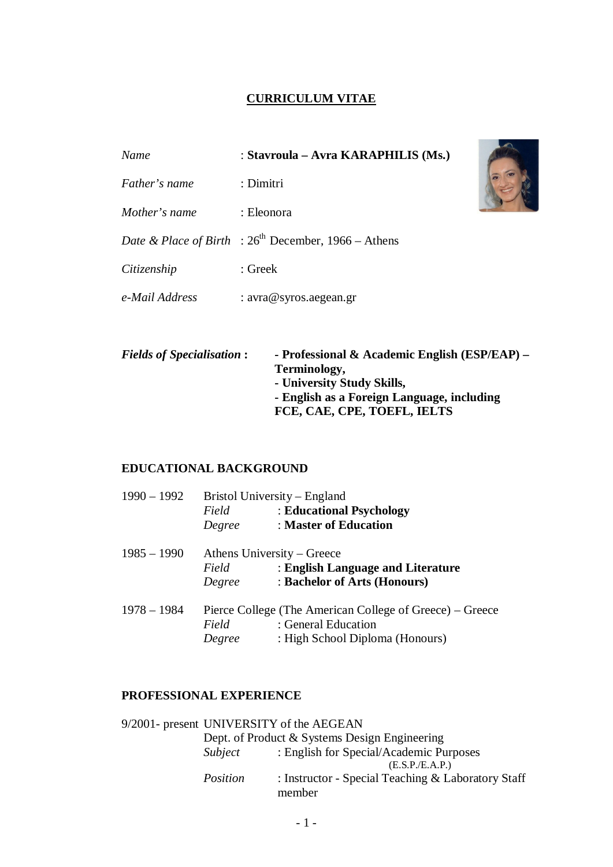# **CURRICULUM VITAE**

| Name           | : Stavroula – Avra KARAPHILIS (Ms.)                                  |  |
|----------------|----------------------------------------------------------------------|--|
| Father's name  | : Dimitri                                                            |  |
| Mother's name  | : Eleonora                                                           |  |
|                | <i>Date &amp; Place of Birth</i> : $26^{th}$ December, 1966 – Athens |  |
| Citizenship    | : Greek                                                              |  |
| e-Mail Address | : $\arctan\omega$ syros. aegean.gr                                   |  |

 $\overline{\phantom{a}}$ 

| <b>Fields of Specialisation:</b> | - Professional & Academic English $(ESP/EAP)$ – |
|----------------------------------|-------------------------------------------------|
|                                  | Terminology,                                    |
|                                  | - University Study Skills,                      |
|                                  | - English as a Foreign Language, including      |
|                                  | FCE, CAE, CPE, TOEFL, IELTS                     |

## **EDUCATIONAL BACKGROUND**

| $1990 - 1992$ | Bristol University – England                             |                                   |  |
|---------------|----------------------------------------------------------|-----------------------------------|--|
|               | Field                                                    | : Educational Psychology          |  |
|               | Degree                                                   | : Master of Education             |  |
| $1985 - 1990$ | Athens University – Greece                               |                                   |  |
|               | Field                                                    | : English Language and Literature |  |
|               | Degree                                                   | : Bachelor of Arts (Honours)      |  |
| $1978 - 1984$ | Pierce College (The American College of Greece) – Greece |                                   |  |
|               | Field                                                    | : General Education               |  |
|               | Degree                                                   | : High School Diploma (Honours)   |  |

## **PROFESSIONAL EXPERIENCE**

|          | 9/2001- present UNIVERSITY of the AEGEAN           |
|----------|----------------------------------------------------|
|          | Dept. of Product & Systems Design Engineering      |
| Subject  | : English for Special/Academic Purposes            |
|          | (E.S.P./E.A.P.)                                    |
| Position | : Instructor - Special Teaching & Laboratory Staff |
|          | member                                             |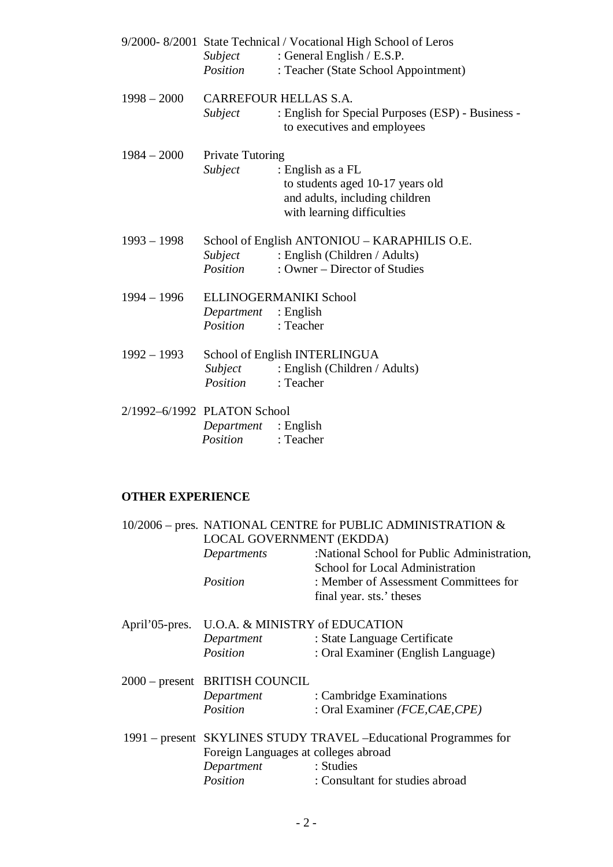|                             |                             | 9/2000-8/2001 State Technical / Vocational High School of Leros                  |
|-----------------------------|-----------------------------|----------------------------------------------------------------------------------|
|                             | Subject                     | : General English / E.S.P.                                                       |
|                             | Position                    | : Teacher (State School Appointment)                                             |
| $1998 - 2000$               | CARREFOUR HELLAS S.A.       |                                                                                  |
|                             | Subject                     | : English for Special Purposes (ESP) - Business -<br>to executives and employees |
| $1984 - 2000$               | <b>Private Tutoring</b>     |                                                                                  |
|                             | Subject                     | : English as a FL                                                                |
|                             |                             | to students aged 10-17 years old                                                 |
|                             |                             | and adults, including children                                                   |
|                             |                             | with learning difficulties                                                       |
| $1993 - 1998$               |                             | School of English ANTONIOU – KARAPHILIS O.E.                                     |
|                             | Subject                     | : English (Children / Adults)                                                    |
|                             | Position                    | : Owner – Director of Studies                                                    |
| $1994 - 1996$               |                             | ELLINOGERMANIKI School                                                           |
|                             | <i>Department</i> : English |                                                                                  |
|                             | <i>Position</i> : Teacher   |                                                                                  |
| $1992 - 1993$               |                             | School of English INTERLINGUA                                                    |
|                             |                             | <i>Subject</i> : English (Children / Adults)                                     |
|                             | Position                    | : Teacher                                                                        |
| 2/1992-6/1992 PLATON School |                             |                                                                                  |
|                             | <i>Department</i> : English |                                                                                  |
|                             | <i>Position</i> : Teacher   |                                                                                  |

## **OTHER EXPERIENCE**

|  |                                                                   | 10/2006 – pres. NATIONAL CENTRE for PUBLIC ADMINISTRATION & |  |
|--|-------------------------------------------------------------------|-------------------------------------------------------------|--|
|  | LOCAL GOVERNMENT (EKDDA)                                          |                                                             |  |
|  | Departments                                                       | :National School for Public Administration,                 |  |
|  |                                                                   | School for Local Administration                             |  |
|  | Position                                                          | : Member of Assessment Committees for                       |  |
|  |                                                                   | final year. sts.' theses                                    |  |
|  | April'05-pres. U.O.A. & MINISTRY of EDUCATION                     |                                                             |  |
|  | Department                                                        | : State Language Certificate                                |  |
|  | Position                                                          | : Oral Examiner (English Language)                          |  |
|  | 2000 – present BRITISH COUNCIL                                    |                                                             |  |
|  | Department                                                        | : Cambridge Examinations                                    |  |
|  | Position                                                          | : Oral Examiner (FCE, CAE, CPE)                             |  |
|  | 1991 – present SKYLINES STUDY TRAVEL - Educational Programmes for |                                                             |  |
|  | Foreign Languages at colleges abroad                              |                                                             |  |
|  | Department                                                        | : Studies                                                   |  |
|  | Position                                                          | : Consultant for studies abroad                             |  |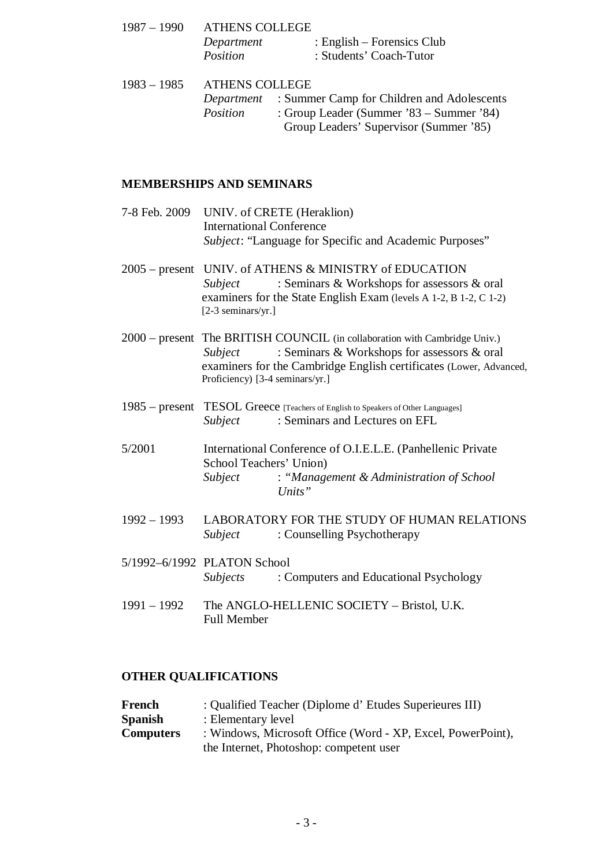|  | 1987 – 1990 ATHENS COLLEGE |                                                              |  |
|--|----------------------------|--------------------------------------------------------------|--|
|  | Department                 | : English – Forensics Club                                   |  |
|  | Position                   | : Students' Coach-Tutor                                      |  |
|  | 1983 – 1985 ATHENS COLLEGE |                                                              |  |
|  |                            | <i>Department</i> : Summer Camp for Children and Adolescents |  |
|  | Position                   | : Group Leader (Summer '83 – Summer '84)                     |  |

# Group Leaders' Supervisor (Summer '85)

## **MEMBERSHIPS AND SEMINARS**

- 7-8 Feb. 2009 UNIV. of CRETE (Heraklion) International Conference *Subject*: "Language for Specific and Academic Purposes"
- 2005 present UNIV. of ATHENS & MINISTRY of EDUCATION *Subject* : Seminars & Workshops for assessors & oral examiners for the State English Exam (levels A 1-2, B 1-2, C 1-2) [2-3 seminars/yr.]
- 2000 present The BRITISH COUNCIL (in collaboration with Cambridge Univ.) *Subject* : Seminars & Workshops for assessors & oral examiners for the Cambridge English certificates (Lower, Advanced, Proficiency) [3-4 seminars/yr.]
- 1985 present TESOL Greece [Teachers of English to Speakers of Other Languages] *Subject* : Seminars and Lectures on EFL
- 5/2001 International Conference of O.I.E.L.E. (Panhellenic Private School Teachers' Union) *Subject* : *"Management & Administration of School Units"*
- 1992 1993 LABORATORY FOR THE STUDY OF HUMAN RELATIONS *Subject* : Counselling Psychotherapy
- 5/1992–6/1992 PLATON School *Subjects* : Computers and Educational Psychology
- 1991 1992 The ANGLO-HELLENIC SOCIETY Bristol, U.K. Full Member

### **OTHER QUALIFICATIONS**

| French           | : Qualified Teacher (Diplome d'Etudes Superieures III)      |
|------------------|-------------------------------------------------------------|
| Spanish          | : Elementary level                                          |
| <b>Computers</b> | : Windows, Microsoft Office (Word - XP, Excel, PowerPoint), |
|                  | the Internet, Photoshop: competent user                     |